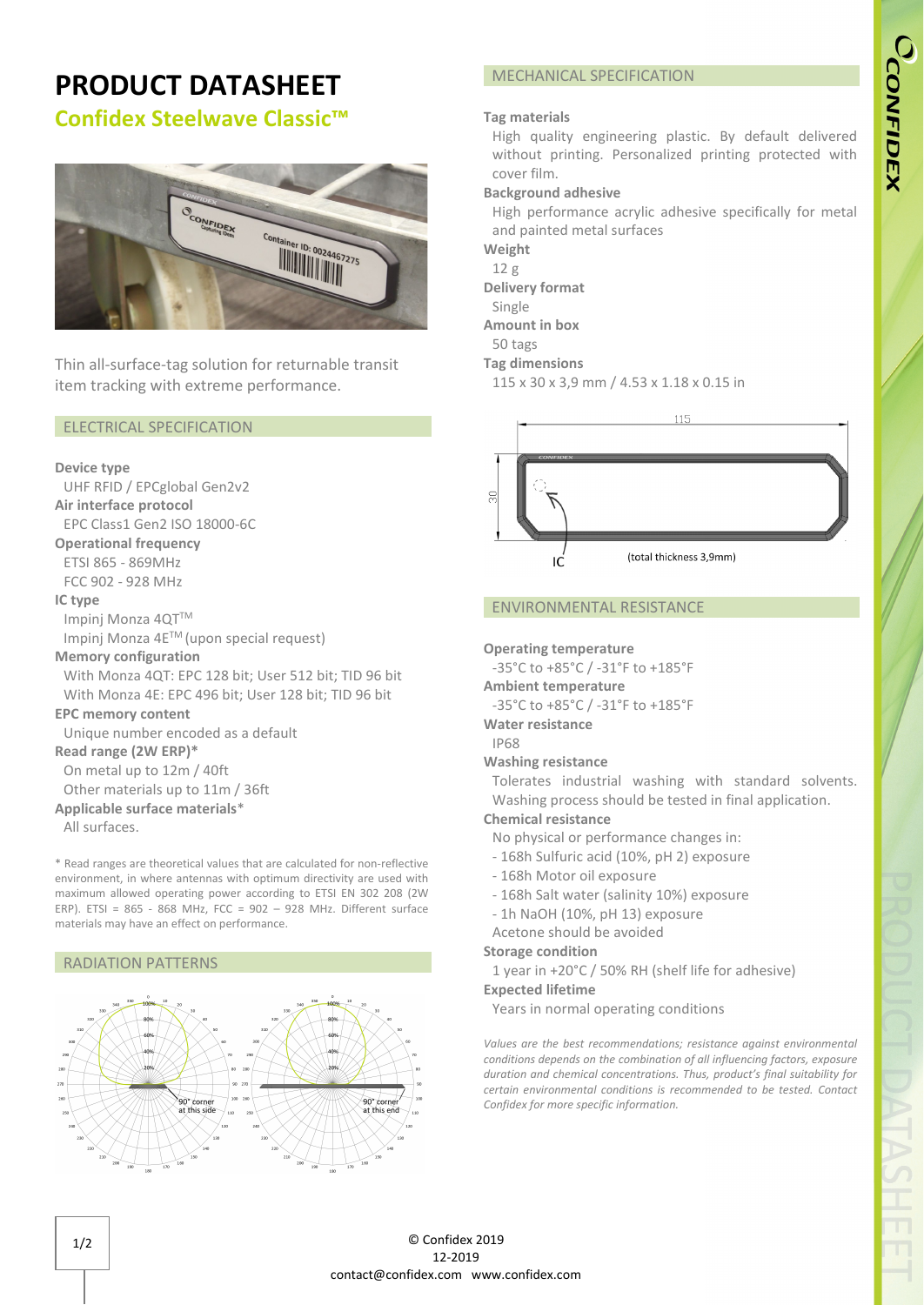## **PRODUCT DATASHEET Confidex Steelwave Classic™**

# CONFIDEX er ID: 0024467275 **ALLAND:** 002446

Thin all-surface-tag solution for returnable transit item tracking with extreme performance.

#### ELECTRICAL SPECIFICATION

#### **Device type**

UHF RFID / EPCglobal Gen2v2 **Air interface protocol** EPC Class1 Gen2 ISO 18000-6C **Operational frequency** ETSI 865 - 869MHz FCC 902 - 928 MHz **IC type** Impinj Monza 4QT™ Impinj Monza 4ETM (upon special request) **Memory configuration** With Monza 4QT: EPC 128 bit; User 512 bit; TID 96 bit With Monza 4E: EPC 496 bit; User 128 bit; TID 96 bit **EPC memory content** Unique number encoded as a default **Read range (2W ERP)\*** On metal up to 12m / 40ft Other materials up to 11m / 36ft **Applicable surface materials**\* All surfaces.

\* Read ranges are theoretical values that are calculated for non-reflective environment, in where antennas with optimum directivity are used with maximum allowed operating power according to ETSI EN 302 208 (2W ERP). ETSI = 865 - 868 MHz, FCC = 902 – 928 MHz. Different surface materials may have an effect on performance.

#### RADIATION PATTERNS



#### MECHANICAL SPECIFICATION

#### **Tag materials**

High quality engineering plastic. By default delivered without printing. Personalized printing protected with cover film.

#### **Background adhesive**

High performance acrylic adhesive specifically for metal and painted metal surfaces

**Weight**

12 g

**Delivery format**

Single **Amount in box**

50 tags

**Tag dimensions**

115 x 30 x 3,9 mm / 4.53 x 1.18 x 0.15 in



#### ENVIRONMENTAL RESISTANCE

#### **Operating temperature**

-35°C to +85°C / -31°F to +185°F

**Ambient temperature**

-35°C to +85°C / -31°F to +185°F

**Water resistance**

IP68

### **Washing resistance**

Tolerates industrial washing with standard solvents. Washing process should be tested in final application.

#### **Chemical resistance**

- No physical or performance changes in:
- 168h Sulfuric acid (10%, pH 2) exposure
- 168h Motor oil exposure
- 168h Salt water (salinity 10%) exposure
- 1h NaOH (10%, pH 13) exposure

#### Acetone should be avoided

#### **Storage condition**

1 year in +20°C / 50% RH (shelf life for adhesive)

#### **Expected lifetime**

Years in normal operating conditions

*Values are the best recommendations; resistance against environmental conditions depends on the combination of all influencing factors, exposure duration and chemical concentrations. Thus, product's final suitability for certain environmental conditions is recommended to be tested. Contact Confidex for more specific information.*